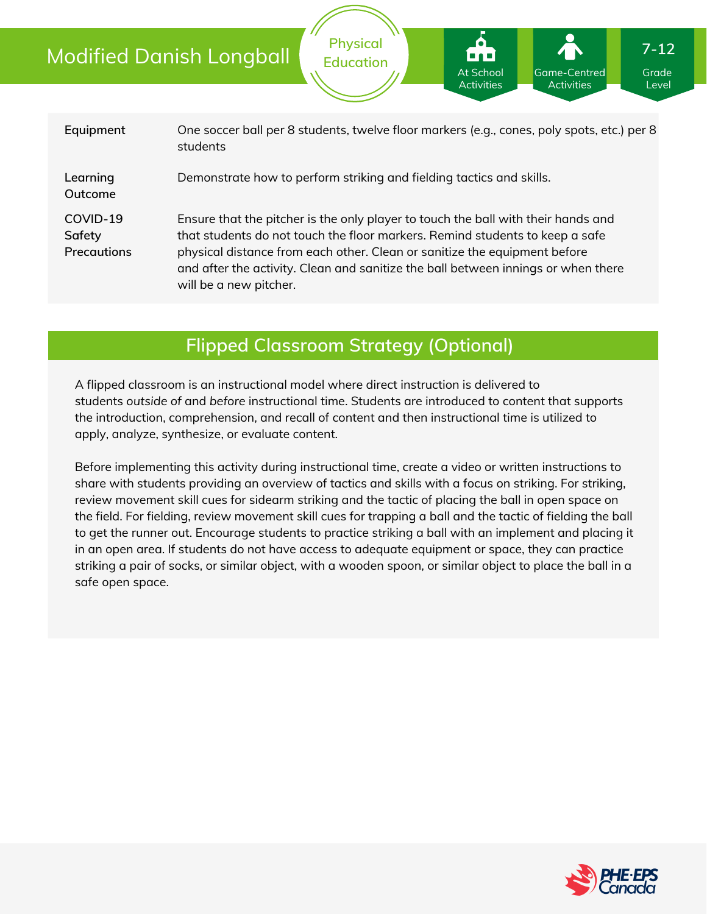| Equipment                                | One soccer ball per 8 students, twelve floor markers (e.g., cones, poly spots, etc.) per 8<br>students                                                                                                                                                                                                                                                        |
|------------------------------------------|---------------------------------------------------------------------------------------------------------------------------------------------------------------------------------------------------------------------------------------------------------------------------------------------------------------------------------------------------------------|
| Learning<br>Outcome                      | Demonstrate how to perform striking and fielding tactics and skills.                                                                                                                                                                                                                                                                                          |
| COVID-19<br>Safety<br><b>Precautions</b> | Ensure that the pitcher is the only player to touch the ball with their hands and<br>that students do not touch the floor markers. Remind students to keep a safe<br>physical distance from each other. Clean or sanitize the equipment before<br>and after the activity. Clean and sanitize the ball between innings or when there<br>will be a new pitcher. |

**Physical Education**

## **Flipped Classroom Strategy (Optional)**

A flipped classroom is an instructional model where direct instruction is delivered to students *outside of* and *before* instructional time. Students are introduced to content that supports the introduction, comprehension, and recall of content and then instructional time is utilized to apply, analyze, synthesize, or evaluate content.

Before implementing this activity during instructional time, create a video or written instructions to share with students providing an overview of tactics and skills with a focus on striking. For striking, review movement skill cues for sidearm striking and the tactic of placing the ball in open space on the field. For fielding, review movement skill cues for trapping a ball and the tactic of fielding the ball to get the runner out. Encourage students to practice striking a ball with an implement and placing it in an open area. If students do not have access to adequate equipment or space, they can practice striking a pair of socks, or similar object, with a wooden spoon, or similar object to place the ball in a safe open space.



Grade Level

Game-Centred **Activities** 

At School Activities

**7-12**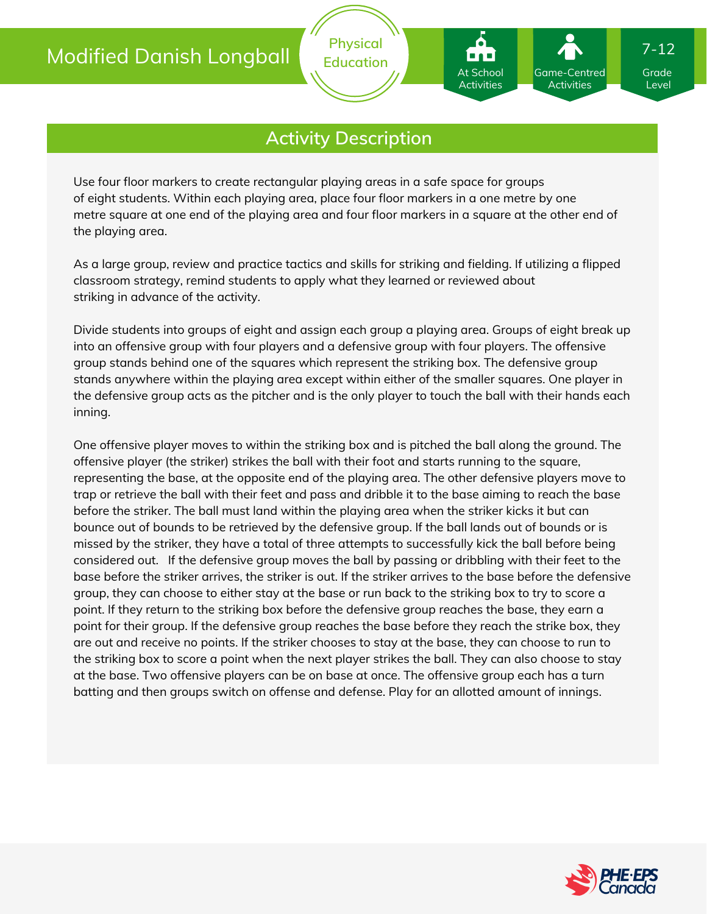

**Physical Education**

Use four floor markers to create rectangular playing areas in a safe space for groups of eight students. Within each playing area, place four floor markers in a one metre by one metre square at one end of the playing area and four floor markers in a square at the other end of the playing area.

As a large group, review and practice tactics and skills for striking and fielding. If utilizing a flipped classroom strategy, remind students to apply what they learned or reviewed about striking in advance of the activity.

Divide students into groups of eight and assign each group a playing area. Groups of eight break up into an offensive group with four players and a defensive group with four players. The offensive group stands behind one of the squares which represent the striking box. The defensive group stands anywhere within the playing area except within either of the smaller squares. One player in the defensive group acts as the pitcher and is the only player to touch the ball with their hands each inning.

One offensive player moves to within the striking box and is pitched the ball along the ground. The offensive player (the striker) strikes the ball with their foot and starts running to the square, representing the base, at the opposite end of the playing area. The other defensive players move to trap or retrieve the ball with their feet and pass and dribble it to the base aiming to reach the base before the striker. The ball must land within the playing area when the striker kicks it but can bounce out of bounds to be retrieved by the defensive group. If the ball lands out of bounds or is missed by the striker, they have a total of three attempts to successfully kick the ball before being considered out. If the defensive group moves the ball by passing or dribbling with their feet to the base before the striker arrives, the striker is out. If the striker arrives to the base before the defensive group, they can choose to either stay at the base or run back to the striking box to try to score a point. If they return to the striking box before the defensive group reaches the base, they earn a point for their group. If the defensive group reaches the base before they reach the strike box, they are out and receive no points. If the striker chooses to stay at the base, they can choose to run to the striking box to score a point when the next player strikes the ball. They can also choose to stay at the base. Two offensive players can be on base at once. The offensive group each has a turn batting and then groups switch on offense and defense. Play for an allotted amount of innings.



Grade Level

7-12

Game-Centred Activities

At School Activities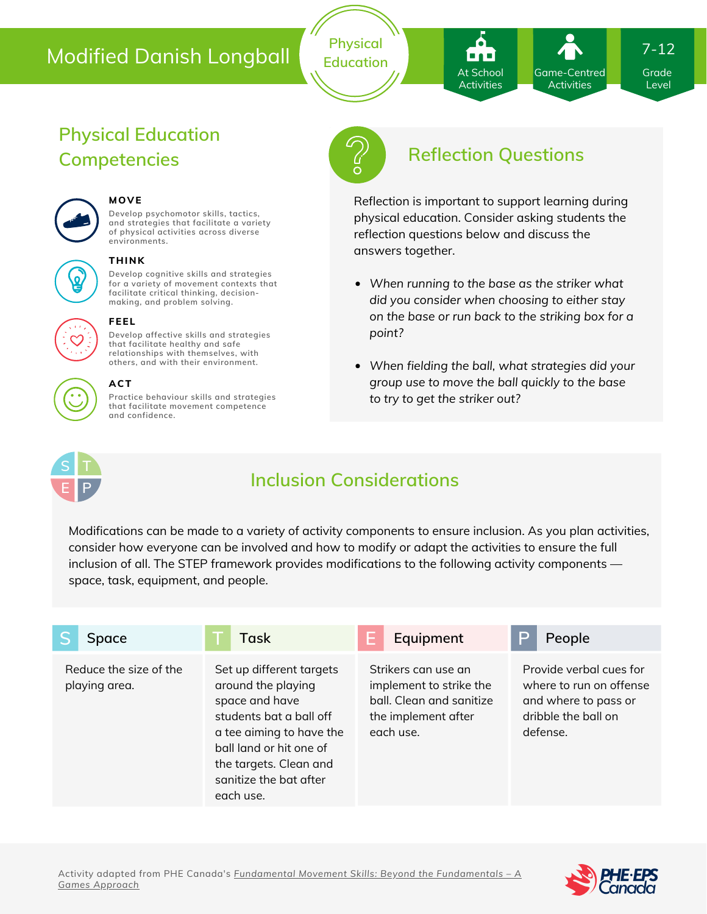**Physical Education**

Game-Centred Activities At School Activities

Grade 7-12

Level

# **Physical Education**



#### **MOVE**

**Develop psychomotor skills, tactics, and strategies that facilitate a variety of physical activities across diverse environments.**

#### **THINK**

**Develop cognitive skills and strategies for a variety of movement contexts that facilitate critical thinking, decision making, and problem solving.**



#### **FEEL**

**Develop affective skills and strategies that facilitate healthy and safe relationships with themselves, with others, and with their environment.**

#### **ACT**

**Practice behaviour skills and strategies that facilitate movement competence and confidence.**



# **Competencies Reflection Questions**

Reflection is important to support learning during physical education. Consider asking students the reflection questions below and discuss the answers together.

- *When running to the base as the striker what did you consider when choosing to either stay on the base or run back to the striking box for a point?*
- *When fielding the ball, what strategies did your group use to move the ball quickly to the base to try to get the striker out?*



# **Inclusion Considerations**

Modifications can be made to a variety of activity components to ensure inclusion. As you plan activities, consider how everyone can be involved and how to modify or adapt the activities to ensure the full inclusion of all. The STEP framework provides modifications to the following activity components space, task, equipment, and people.

| Space                                   | <b>Task</b>                                                                                                                                                                                                         | Equipment                                                                                                      | P<br>People                                                                                                   |
|-----------------------------------------|---------------------------------------------------------------------------------------------------------------------------------------------------------------------------------------------------------------------|----------------------------------------------------------------------------------------------------------------|---------------------------------------------------------------------------------------------------------------|
| Reduce the size of the<br>playing area. | Set up different targets<br>around the playing<br>space and have<br>students bat a ball off<br>a tee aiming to have the<br>ball land or hit one of<br>the targets. Clean and<br>sanitize the bat after<br>each use. | Strikers can use an<br>implement to strike the<br>ball. Clean and sanitize<br>the implement after<br>each use. | Provide verbal cues for<br>where to run on offense<br>and where to pass or<br>dribble the ball on<br>defense. |